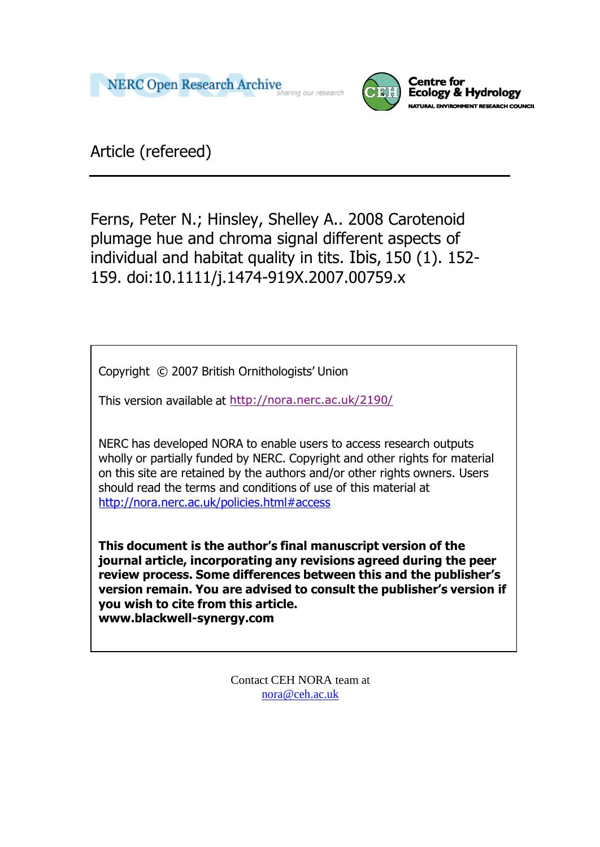



Article (refereed)

Ferns, Peter N.; Hinsley, Shelley A.. 2008 Carotenoid plumage hue and chroma signal different aspects of individual and habitat quality in tits. Ibis, 150 (1). 152- 159. doi:10.1111/j.1474-919X.2007.00759.x

Copyright © 2007 British Ornithologists' Union

This version available at <http://nora.nerc.ac.uk/2190/>

NERC has developed NORA to enable users to access research outputs wholly or partially funded by NERC. Copyright and other rights for material on this site are retained by the authors and/or other rights owners. Users should read the terms and conditions of use of this material at <http://nora.nerc.ac.uk/policies.html#access>

**This document is the author's final manuscript version of the journal article, incorporating any revisions agreed during the peer review process. Some differences between this and the publisher's version remain. You are advised to consult the publisher's version if you wish to cite from this article. [www.blackwell-synergy.com](http://www.blackwell-synergy.com/)**

> Contact CEH NORA team at [nora@ceh.ac.uk](mailto:nora@ceh.ac.uk)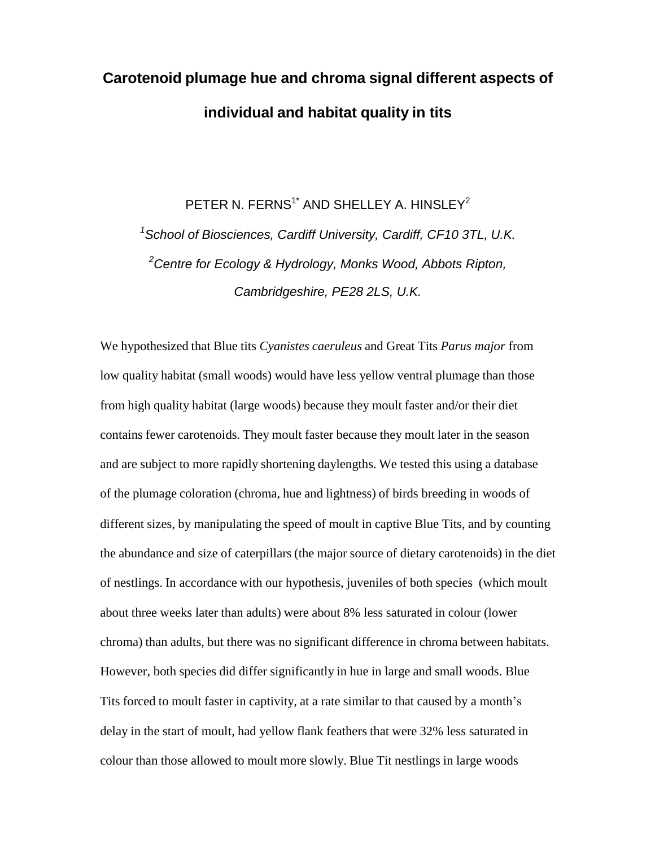# **Carotenoid plumage hue and chroma signal different aspects of individual and habitat quality in tits**

PETER N. FERNS $^1^\star$  AND SHELLEY A. HINSLEY $^2$ *<sup>1</sup>School of Biosciences, Cardiff University, Cardiff, CF10 3TL, U.K. <sup>2</sup>Centre for Ecology & Hydrology, Monks Wood, Abbots Ripton, Cambridgeshire, PE28 2LS, U.K.*

We hypothesized that Blue tits *Cyanistes caeruleus* and Great Tits *Parus major* from low quality habitat (small woods) would have less yellow ventral plumage than those from high quality habitat (large woods) because they moult faster and/or their diet contains fewer carotenoids. They moult faster because they moult later in the season and are subject to more rapidly shortening daylengths. We tested this using a database of the plumage coloration (chroma, hue and lightness) of birds breeding in woods of different sizes, by manipulating the speed of moult in captive Blue Tits, and by counting the abundance and size of caterpillars (the major source of dietary carotenoids) in the diet of nestlings. In accordance with our hypothesis, juveniles of both species (which moult about three weeks later than adults) were about 8% less saturated in colour (lower chroma) than adults, but there was no significant difference in chroma between habitats. However, both species did differ significantly in hue in large and small woods. Blue Tits forced to moult faster in captivity, at a rate similar to that caused by a month's delay in the start of moult, had yellow flank feathers that were 32% less saturated in colour than those allowed to moult more slowly. Blue Tit nestlings in large woods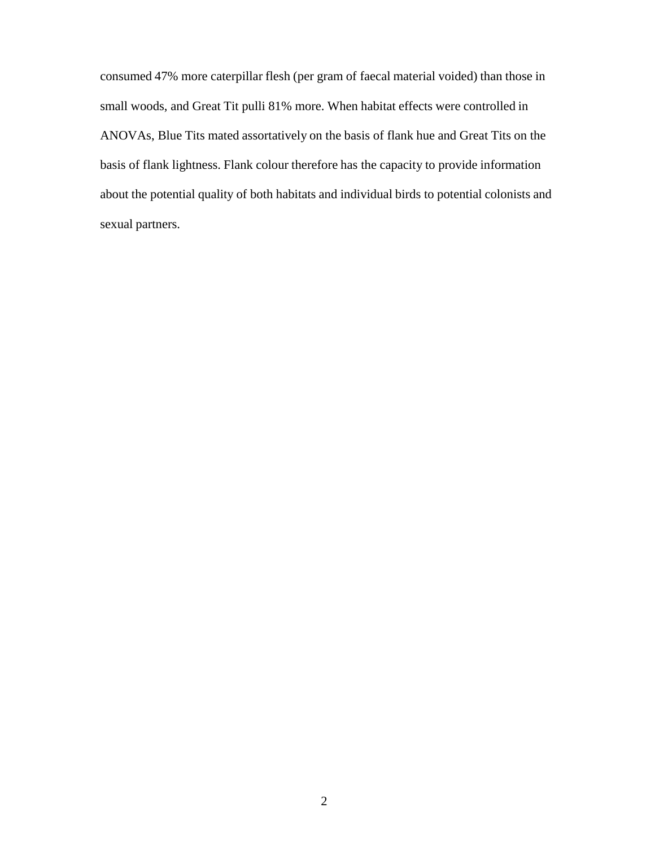consumed 47% more caterpillar flesh (per gram of faecal material voided) than those in small woods, and Great Tit pulli 81% more. When habitat effects were controlled in ANOVAs, Blue Tits mated assortatively on the basis of flank hue and Great Tits on the basis of flank lightness. Flank colour therefore has the capacity to provide information about the potential quality of both habitats and individual birds to potential colonists and sexual partners.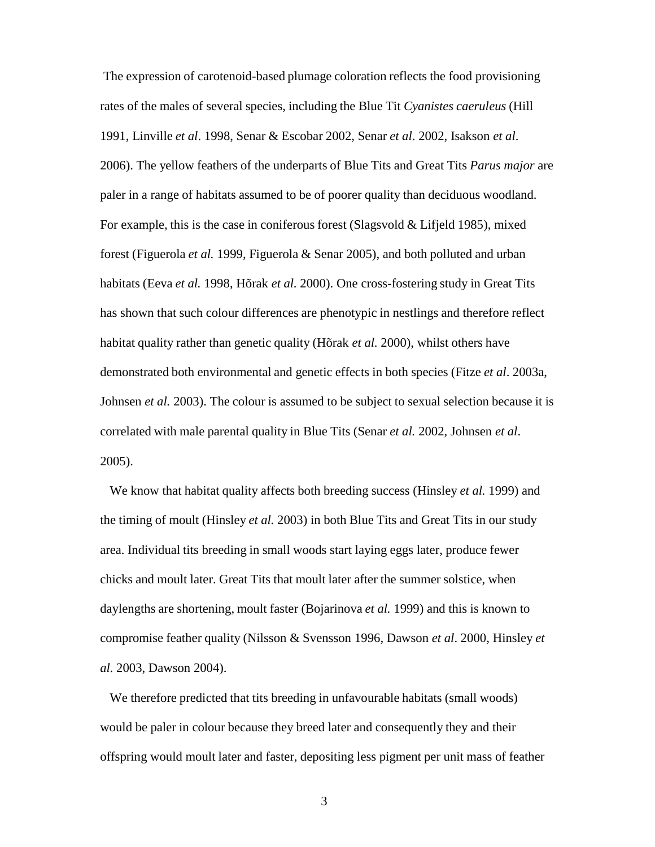The expression of carotenoid-based plumage coloration reflects the food provisioning rates of the males of several species, including the Blue Tit *Cyanistes caeruleus* (Hill 1991, Linville *et al*. 1998, Senar & Escobar 2002, Senar *et al*. 2002, Isakson *et al*. 2006). The yellow feathers of the underparts of Blue Tits and Great Tits *Parus major* are paler in a range of habitats assumed to be of poorer quality than deciduous woodland. For example, this is the case in coniferous forest (Slagsvold & Lifjeld 1985), mixed forest (Figuerola *et al.* 1999, Figuerola & Senar 2005), and both polluted and urban habitats (Eeva *et al.* 1998, Hõrak *et al.* 2000). One cross-fostering study in Great Tits has shown that such colour differences are phenotypic in nestlings and therefore reflect habitat quality rather than genetic quality (Hõrak *et al.* 2000), whilst others have demonstrated both environmental and genetic effects in both species (Fitze *et al*. 2003a, Johnsen *et al.* 2003). The colour is assumed to be subject to sexual selection because it is correlated with male parental quality in Blue Tits (Senar *et al.* 2002, Johnsen *et al*. 2005).

We know that habitat quality affects both breeding success (Hinsley *et al.* 1999) and the timing of moult (Hinsley *et al.* 2003) in both Blue Tits and Great Tits in our study area. Individual tits breeding in small woods start laying eggs later, produce fewer chicks and moult later. Great Tits that moult later after the summer solstice, when daylengths are shortening, moult faster (Bojarinova *et al.* 1999) and this is known to compromise feather quality (Nilsson & Svensson 1996, Dawson *et al*. 2000, Hinsley *et al.* 2003, Dawson 2004).

We therefore predicted that tits breeding in unfavourable habitats (small woods) would be paler in colour because they breed later and consequently they and their offspring would moult later and faster, depositing less pigment per unit mass of feather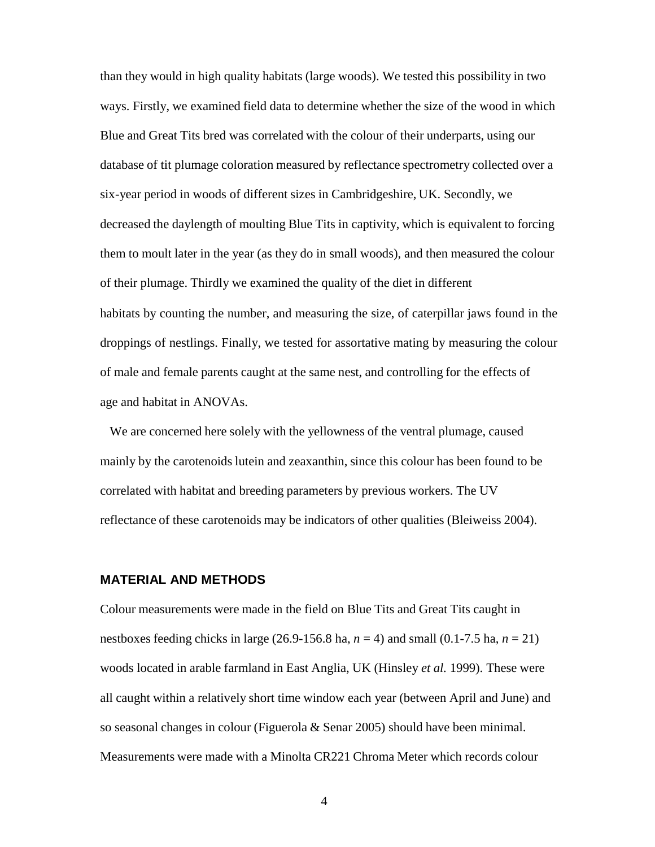than they would in high quality habitats (large woods). We tested this possibility in two ways. Firstly, we examined field data to determine whether the size of the wood in which Blue and Great Tits bred was correlated with the colour of their underparts, using our database of tit plumage coloration measured by reflectance spectrometry collected over a six-year period in woods of different sizes in Cambridgeshire, UK. Secondly, we decreased the daylength of moulting Blue Tits in captivity, which is equivalent to forcing them to moult later in the year (as they do in small woods), and then measured the colour of their plumage. Thirdly we examined the quality of the diet in different habitats by counting the number, and measuring the size, of caterpillar jaws found in the droppings of nestlings. Finally, we tested for assortative mating by measuring the colour of male and female parents caught at the same nest, and controlling for the effects of age and habitat in ANOVAs.

We are concerned here solely with the yellowness of the ventral plumage, caused mainly by the carotenoids lutein and zeaxanthin, since this colour has been found to be correlated with habitat and breeding parameters by previous workers. The UV reflectance of these carotenoids may be indicators of other qualities (Bleiweiss 2004).

#### **MATERIAL AND METHODS**

Colour measurements were made in the field on Blue Tits and Great Tits caught in nestboxes feeding chicks in large (26.9-156.8 ha, *n* = 4) and small (0.1-7.5 ha, *n* = 21) woods located in arable farmland in East Anglia, UK (Hinsley *et al.* 1999). These were all caught within a relatively short time window each year (between April and June) and so seasonal changes in colour (Figuerola & Senar 2005) should have been minimal. Measurements were made with a Minolta CR221 Chroma Meter which records colour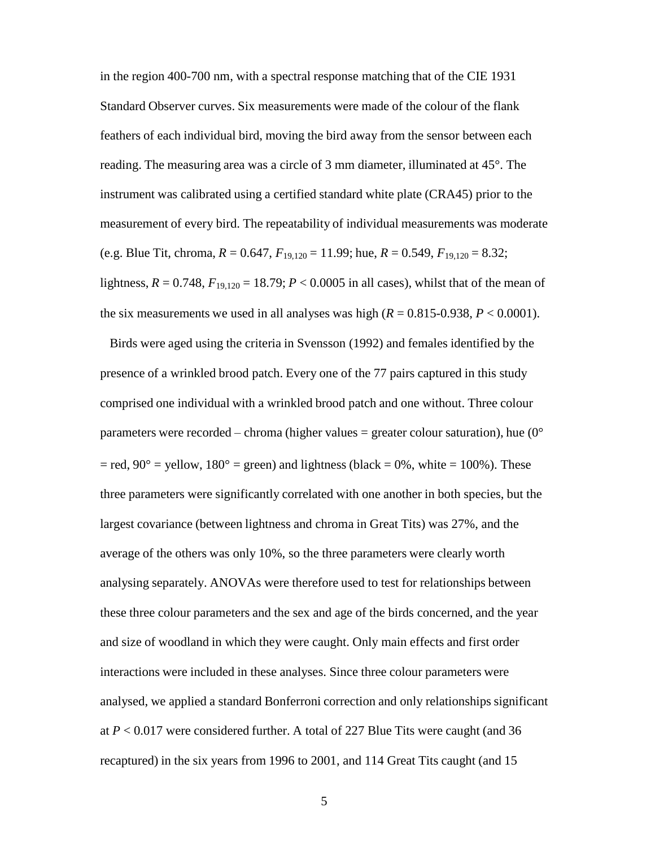in the region 400-700 nm, with a spectral response matching that of the CIE 1931 Standard Observer curves. Six measurements were made of the colour of the flank feathers of each individual bird, moving the bird away from the sensor between each reading. The measuring area was a circle of 3 mm diameter, illuminated at 45°. The instrument was calibrated using a certified standard white plate (CRA45) prior to the measurement of every bird. The repeatability of individual measurements was moderate (e.g. Blue Tit, chroma,  $R = 0.647$ ,  $F_{19,120} = 11.99$ ; hue,  $R = 0.549$ ,  $F_{19,120} = 8.32$ ; lightness,  $R = 0.748$ ,  $F_{19,120} = 18.79$ ;  $P < 0.0005$  in all cases), whilst that of the mean of the six measurements we used in all analyses was high  $(R = 0.815 - 0.938, P < 0.0001)$ .

Birds were aged using the criteria in Svensson (1992) and females identified by the presence of a wrinkled brood patch. Every one of the 77 pairs captured in this study comprised one individual with a wrinkled brood patch and one without. Three colour parameters were recorded – chroma (higher values = greater colour saturation), hue  $(0^{\circ})$  $=$  red, 90° = yellow, 180° = green) and lightness (black = 0%, white = 100%). These three parameters were significantly correlated with one another in both species, but the largest covariance (between lightness and chroma in Great Tits) was 27%, and the average of the others was only 10%, so the three parameters were clearly worth analysing separately. ANOVAs were therefore used to test for relationships between these three colour parameters and the sex and age of the birds concerned, and the year and size of woodland in which they were caught. Only main effects and first order interactions were included in these analyses. Since three colour parameters were analysed, we applied a standard Bonferroni correction and only relationships significant at  $P < 0.017$  were considered further. A total of 227 Blue Tits were caught (and 36 recaptured) in the six years from 1996 to 2001, and 114 Great Tits caught (and 15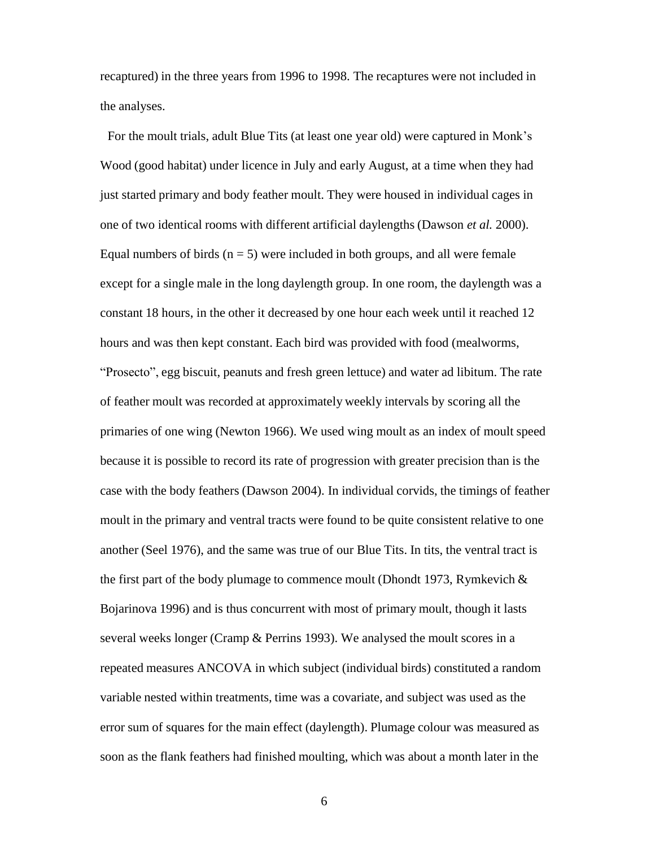recaptured) in the three years from 1996 to 1998. The recaptures were not included in the analyses.

For the moult trials, adult Blue Tits (at least one year old) were captured in Monk's Wood (good habitat) under licence in July and early August, at a time when they had just started primary and body feather moult. They were housed in individual cages in one of two identical rooms with different artificial daylengths (Dawson *et al.* 2000). Equal numbers of birds  $(n = 5)$  were included in both groups, and all were female except for a single male in the long daylength group. In one room, the daylength was a constant 18 hours, in the other it decreased by one hour each week until it reached 12 hours and was then kept constant. Each bird was provided with food (mealworms, "Prosecto", egg biscuit, peanuts and fresh green lettuce) and water ad libitum. The rate of feather moult was recorded at approximately weekly intervals by scoring all the primaries of one wing (Newton 1966). We used wing moult as an index of moult speed because it is possible to record its rate of progression with greater precision than is the case with the body feathers (Dawson 2004). In individual corvids, the timings of feather moult in the primary and ventral tracts were found to be quite consistent relative to one another (Seel 1976), and the same was true of our Blue Tits. In tits, the ventral tract is the first part of the body plumage to commence moult (Dhondt 1973, Rymkevich  $\&$ Bojarinova 1996) and is thus concurrent with most of primary moult, though it lasts several weeks longer (Cramp & Perrins 1993). We analysed the moult scores in a repeated measures ANCOVA in which subject (individual birds) constituted a random variable nested within treatments, time was a covariate, and subject was used as the error sum of squares for the main effect (daylength). Plumage colour was measured as soon as the flank feathers had finished moulting, which was about a month later in the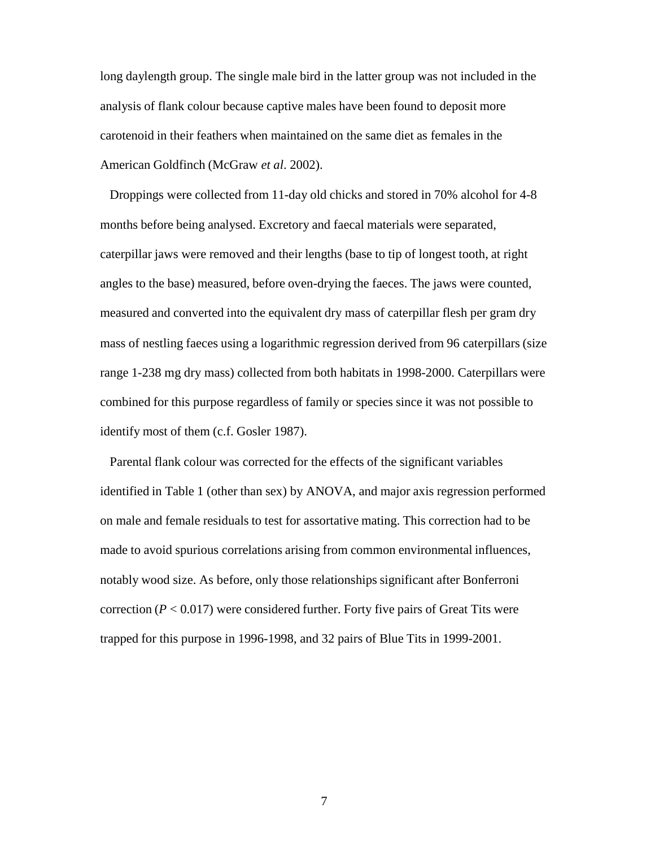long daylength group. The single male bird in the latter group was not included in the analysis of flank colour because captive males have been found to deposit more carotenoid in their feathers when maintained on the same diet as females in the American Goldfinch (McGraw *et al*. 2002).

Droppings were collected from 11-day old chicks and stored in 70% alcohol for 4-8 months before being analysed. Excretory and faecal materials were separated, caterpillar jaws were removed and their lengths (base to tip of longest tooth, at right angles to the base) measured, before oven-drying the faeces. The jaws were counted, measured and converted into the equivalent dry mass of caterpillar flesh per gram dry mass of nestling faeces using a logarithmic regression derived from 96 caterpillars (size range 1-238 mg dry mass) collected from both habitats in 1998-2000. Caterpillars were combined for this purpose regardless of family or species since it was not possible to identify most of them (c.f. Gosler 1987).

Parental flank colour was corrected for the effects of the significant variables identified in Table 1 (other than sex) by ANOVA, and major axis regression performed on male and female residuals to test for assortative mating. This correction had to be made to avoid spurious correlations arising from common environmental influences, notably wood size. As before, only those relationships significant after Bonferroni correction  $(P < 0.017)$  were considered further. Forty five pairs of Great Tits were trapped for this purpose in 1996-1998, and 32 pairs of Blue Tits in 1999-2001.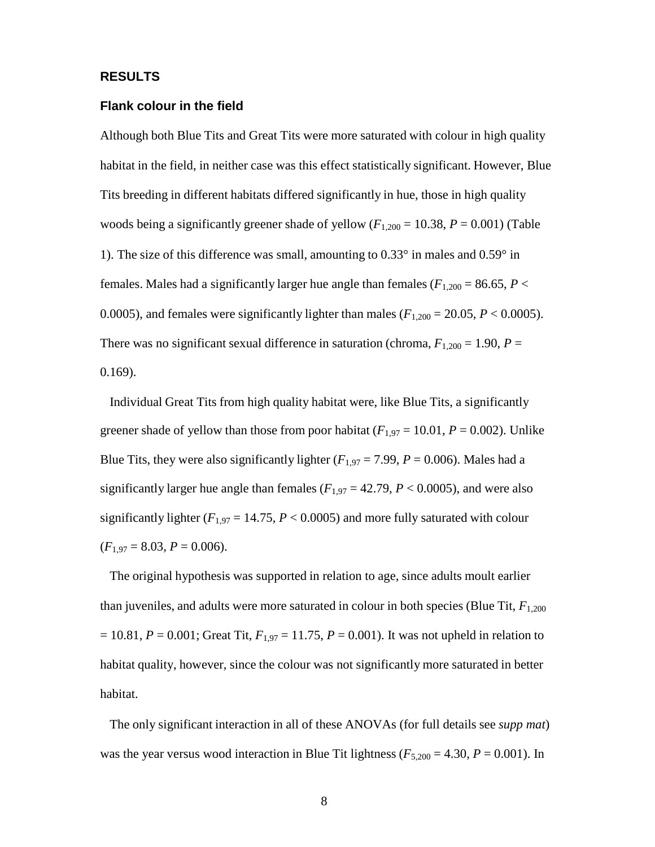#### **RESULTS**

#### **Flank colour in the field**

Although both Blue Tits and Great Tits were more saturated with colour in high quality habitat in the field, in neither case was this effect statistically significant. However, Blue Tits breeding in different habitats differed significantly in hue, those in high quality woods being a significantly greener shade of yellow  $(F_{1,200} = 10.38, P = 0.001)$  (Table 1). The size of this difference was small, amounting to 0.33° in males and 0.59° in females. Males had a significantly larger hue angle than females ( $F_{1,200} = 86.65$ ,  $P <$ 0.0005), and females were significantly lighter than males ( $F_{1,200} = 20.05$ ,  $P < 0.0005$ ). There was no significant sexual difference in saturation (chroma,  $F_{1,200} = 1.90$ ,  $P =$ 0.169).

Individual Great Tits from high quality habitat were, like Blue Tits, a significantly greener shade of yellow than those from poor habitat ( $F_{1,97} = 10.01$ ,  $P = 0.002$ ). Unlike Blue Tits, they were also significantly lighter  $(F_{1,97} = 7.99, P = 0.006)$ . Males had a significantly larger hue angle than females ( $F_{1,97} = 42.79$ ,  $P < 0.0005$ ), and were also significantly lighter  $(F_{1,97} = 14.75, P < 0.0005)$  and more fully saturated with colour  $(F_{1.97} = 8.03, P = 0.006).$ 

The original hypothesis was supported in relation to age, since adults moult earlier than juveniles, and adults were more saturated in colour in both species (Blue Tit,  $F_{1,200}$ )  $= 10.81, P = 0.001$ ; Great Tit,  $F_{1.97} = 11.75, P = 0.001$ ). It was not upheld in relation to habitat quality, however, since the colour was not significantly more saturated in better habitat.

The only significant interaction in all of these ANOVAs (for full details see *supp mat*) was the year versus wood interaction in Blue Tit lightness ( $F_{5,200} = 4.30$ ,  $P = 0.001$ ). In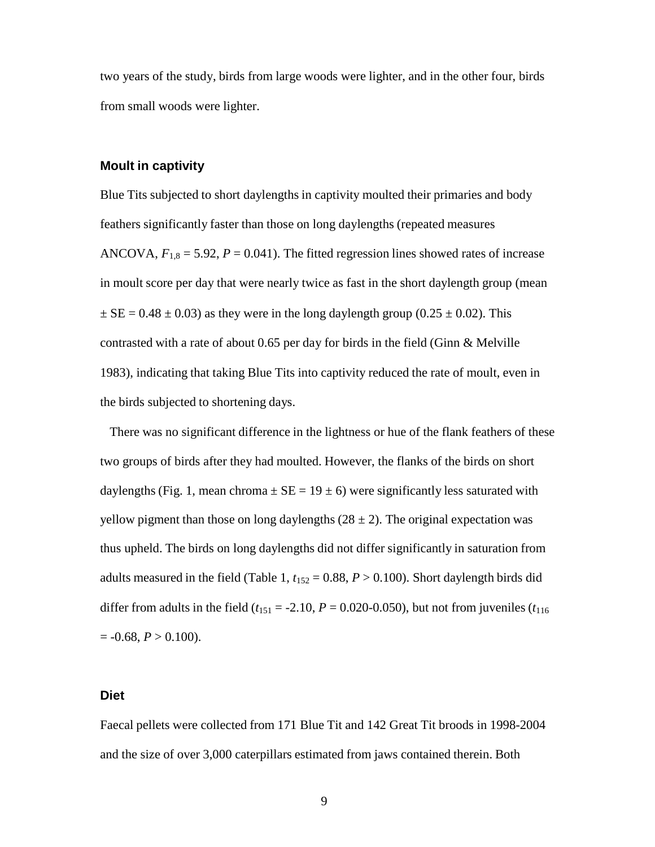two years of the study, birds from large woods were lighter, and in the other four, birds from small woods were lighter.

#### **Moult in captivity**

Blue Tits subjected to short daylengths in captivity moulted their primaries and body feathers significantly faster than those on long daylengths (repeated measures ANCOVA,  $F_{1,8} = 5.92$ ,  $P = 0.041$ ). The fitted regression lines showed rates of increase in moult score per day that were nearly twice as fast in the short daylength group (mean  $\pm$  SE = 0.48  $\pm$  0.03) as they were in the long daylength group (0.25  $\pm$  0.02). This contrasted with a rate of about 0.65 per day for birds in the field (Ginn & Melville 1983), indicating that taking Blue Tits into captivity reduced the rate of moult, even in the birds subjected to shortening days.

There was no significant difference in the lightness or hue of the flank feathers of these two groups of birds after they had moulted. However, the flanks of the birds on short daylengths (Fig. 1, mean chroma  $\pm$  SE = 19  $\pm$  6) were significantly less saturated with yellow pigment than those on long daylengths  $(28 \pm 2)$ . The original expectation was thus upheld. The birds on long daylengths did not differ significantly in saturation from adults measured in the field (Table 1,  $t_{152} = 0.88$ ,  $P > 0.100$ ). Short daylength birds did differ from adults in the field  $(t_{151} = -2.10, P = 0.020 - 0.050)$ , but not from juveniles  $(t_{116}$  $= -0.68, P > 0.100$ .

#### **Diet**

Faecal pellets were collected from 171 Blue Tit and 142 Great Tit broods in 1998-2004 and the size of over 3,000 caterpillars estimated from jaws contained therein. Both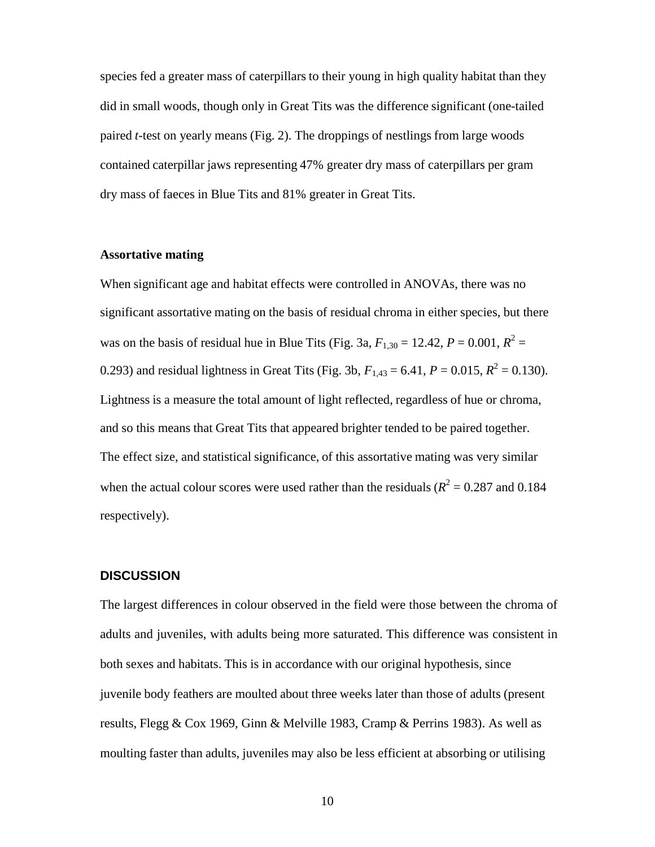species fed a greater mass of caterpillars to their young in high quality habitat than they did in small woods, though only in Great Tits was the difference significant (one-tailed paired *t*-test on yearly means (Fig. 2). The droppings of nestlings from large woods contained caterpillar jaws representing 47% greater dry mass of caterpillars per gram dry mass of faeces in Blue Tits and 81% greater in Great Tits.

#### **Assortative mating**

When significant age and habitat effects were controlled in ANOVAs, there was no significant assortative mating on the basis of residual chroma in either species, but there was on the basis of residual hue in Blue Tits (Fig. 3a,  $F_{1,30} = 12.42$ ,  $P = 0.001$ ,  $R^2 =$ 0.293) and residual lightness in Great Tits (Fig. 3b,  $F_{1,43} = 6.41$ ,  $P = 0.015$ ,  $R^2 = 0.130$ ). Lightness is a measure the total amount of light reflected, regardless of hue or chroma, and so this means that Great Tits that appeared brighter tended to be paired together. The effect size, and statistical significance, of this assortative mating was very similar when the actual colour scores were used rather than the residuals ( $R^2 = 0.287$  and 0.184 respectively).

#### **DISCUSSION**

The largest differences in colour observed in the field were those between the chroma of adults and juveniles, with adults being more saturated. This difference was consistent in both sexes and habitats. This is in accordance with our original hypothesis, since juvenile body feathers are moulted about three weeks later than those of adults (present results, Flegg & Cox 1969, Ginn & Melville 1983, Cramp & Perrins 1983). As well as moulting faster than adults, juveniles may also be less efficient at absorbing or utilising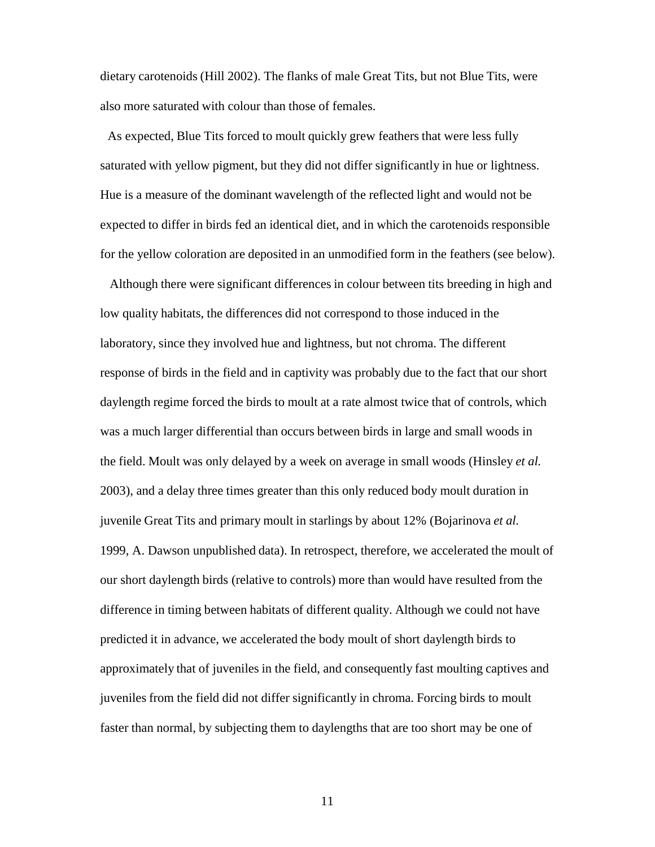dietary carotenoids (Hill 2002). The flanks of male Great Tits, but not Blue Tits, were also more saturated with colour than those of females.

As expected, Blue Tits forced to moult quickly grew feathers that were less fully saturated with yellow pigment, but they did not differ significantly in hue or lightness. Hue is a measure of the dominant wavelength of the reflected light and would not be expected to differ in birds fed an identical diet, and in which the carotenoids responsible for the yellow coloration are deposited in an unmodified form in the feathers (see below).

Although there were significant differences in colour between tits breeding in high and low quality habitats, the differences did not correspond to those induced in the laboratory, since they involved hue and lightness, but not chroma. The different response of birds in the field and in captivity was probably due to the fact that our short daylength regime forced the birds to moult at a rate almost twice that of controls, which was a much larger differential than occurs between birds in large and small woods in the field. Moult was only delayed by a week on average in small woods (Hinsley *et al.* 2003), and a delay three times greater than this only reduced body moult duration in juvenile Great Tits and primary moult in starlings by about 12% (Bojarinova *et al.* 1999, A. Dawson unpublished data). In retrospect, therefore, we accelerated the moult of our short daylength birds (relative to controls) more than would have resulted from the difference in timing between habitats of different quality. Although we could not have predicted it in advance, we accelerated the body moult of short daylength birds to approximately that of juveniles in the field, and consequently fast moulting captives and juveniles from the field did not differ significantly in chroma. Forcing birds to moult faster than normal, by subjecting them to daylengths that are too short may be one of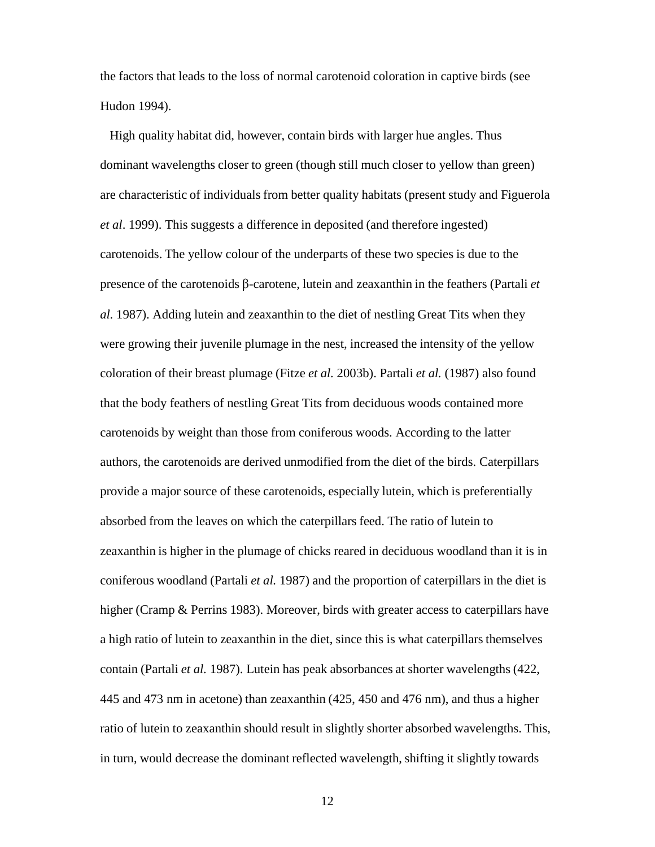the factors that leads to the loss of normal carotenoid coloration in captive birds (see Hudon 1994).

High quality habitat did, however, contain birds with larger hue angles. Thus dominant wavelengths closer to green (though still much closer to yellow than green) are characteristic of individuals from better quality habitats (present study and Figuerola *et al*. 1999). This suggests a difference in deposited (and therefore ingested) carotenoids. The yellow colour of the underparts of these two species is due to the presence of the carotenoids β-carotene, lutein and zeaxanthin in the feathers (Partali *et al.* 1987). Adding lutein and zeaxanthin to the diet of nestling Great Tits when they were growing their juvenile plumage in the nest, increased the intensity of the yellow coloration of their breast plumage (Fitze *et al.* 2003b). Partali *et al.* (1987) also found that the body feathers of nestling Great Tits from deciduous woods contained more carotenoids by weight than those from coniferous woods. According to the latter authors, the carotenoids are derived unmodified from the diet of the birds. Caterpillars provide a major source of these carotenoids, especially lutein, which is preferentially absorbed from the leaves on which the caterpillars feed. The ratio of lutein to zeaxanthin is higher in the plumage of chicks reared in deciduous woodland than it is in coniferous woodland (Partali *et al.* 1987) and the proportion of caterpillars in the diet is higher (Cramp & Perrins 1983). Moreover, birds with greater access to caterpillars have a high ratio of lutein to zeaxanthin in the diet, since this is what caterpillars themselves contain (Partali *et al.* 1987). Lutein has peak absorbances at shorter wavelengths (422, 445 and 473 nm in acetone) than zeaxanthin (425, 450 and 476 nm), and thus a higher ratio of lutein to zeaxanthin should result in slightly shorter absorbed wavelengths. This, in turn, would decrease the dominant reflected wavelength, shifting it slightly towards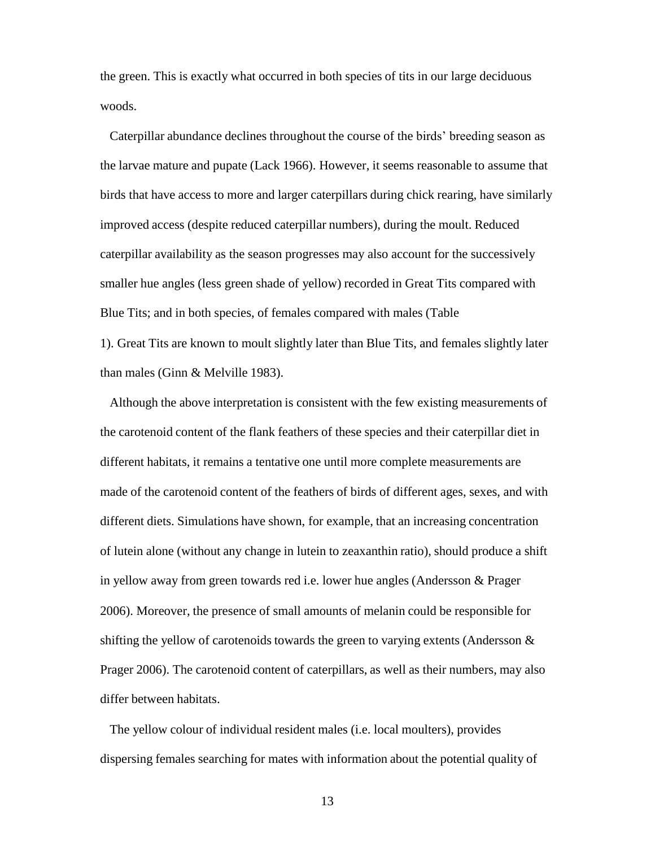the green. This is exactly what occurred in both species of tits in our large deciduous woods.

Caterpillar abundance declines throughout the course of the birds' breeding season as the larvae mature and pupate (Lack 1966). However, it seems reasonable to assume that birds that have access to more and larger caterpillars during chick rearing, have similarly improved access (despite reduced caterpillar numbers), during the moult. Reduced caterpillar availability as the season progresses may also account for the successively smaller hue angles (less green shade of yellow) recorded in Great Tits compared with Blue Tits; and in both species, of females compared with males (Table

1). Great Tits are known to moult slightly later than Blue Tits, and females slightly later than males (Ginn & Melville 1983).

Although the above interpretation is consistent with the few existing measurements of the carotenoid content of the flank feathers of these species and their caterpillar diet in different habitats, it remains a tentative one until more complete measurements are made of the carotenoid content of the feathers of birds of different ages, sexes, and with different diets. Simulations have shown, for example, that an increasing concentration of lutein alone (without any change in lutein to zeaxanthin ratio), should produce a shift in yellow away from green towards red i.e. lower hue angles (Andersson & Prager 2006). Moreover, the presence of small amounts of melanin could be responsible for shifting the yellow of carotenoids towards the green to varying extents (Andersson  $\&$ Prager 2006). The carotenoid content of caterpillars, as well as their numbers, may also differ between habitats.

The yellow colour of individual resident males (i.e. local moulters), provides dispersing females searching for mates with information about the potential quality of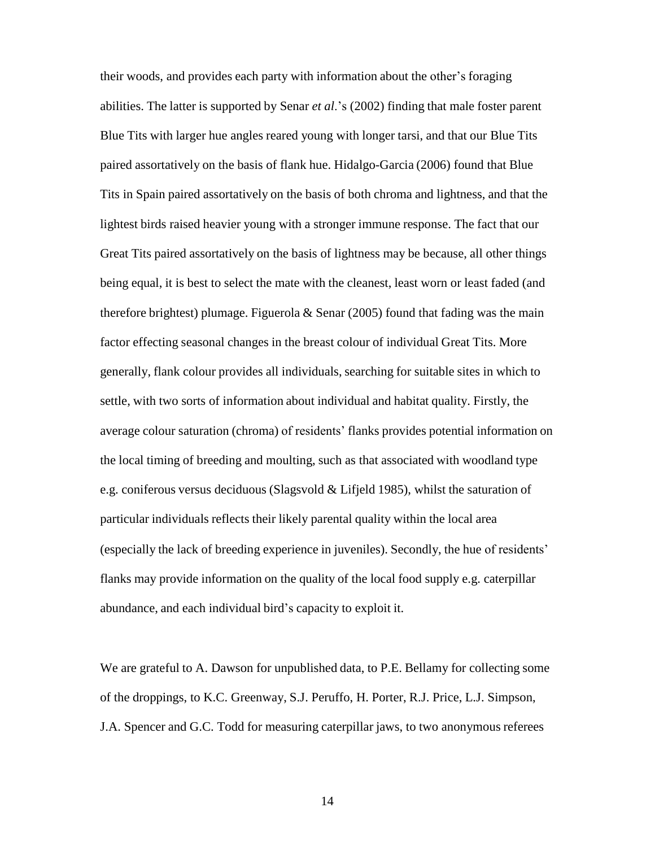their woods, and provides each party with information about the other's foraging abilities. The latter is supported by Senar *et al*.'s (2002) finding that male foster parent Blue Tits with larger hue angles reared young with longer tarsi, and that our Blue Tits paired assortatively on the basis of flank hue. Hidalgo-Garcia (2006) found that Blue Tits in Spain paired assortatively on the basis of both chroma and lightness, and that the lightest birds raised heavier young with a stronger immune response. The fact that our Great Tits paired assortatively on the basis of lightness may be because, all other things being equal, it is best to select the mate with the cleanest, least worn or least faded (and therefore brightest) plumage. Figuerola & Senar (2005) found that fading was the main factor effecting seasonal changes in the breast colour of individual Great Tits. More generally, flank colour provides all individuals, searching for suitable sites in which to settle, with two sorts of information about individual and habitat quality. Firstly, the average colour saturation (chroma) of residents' flanks provides potential information on the local timing of breeding and moulting, such as that associated with woodland type e.g. coniferous versus deciduous (Slagsvold & Lifjeld 1985), whilst the saturation of particular individuals reflects their likely parental quality within the local area (especially the lack of breeding experience in juveniles). Secondly, the hue of residents' flanks may provide information on the quality of the local food supply e.g. caterpillar abundance, and each individual bird's capacity to exploit it.

We are grateful to A. Dawson for unpublished data, to P.E. Bellamy for collecting some of the droppings, to K.C. Greenway, S.J. Peruffo, H. Porter, R.J. Price, L.J. Simpson, J.A. Spencer and G.C. Todd for measuring caterpillar jaws, to two anonymous referees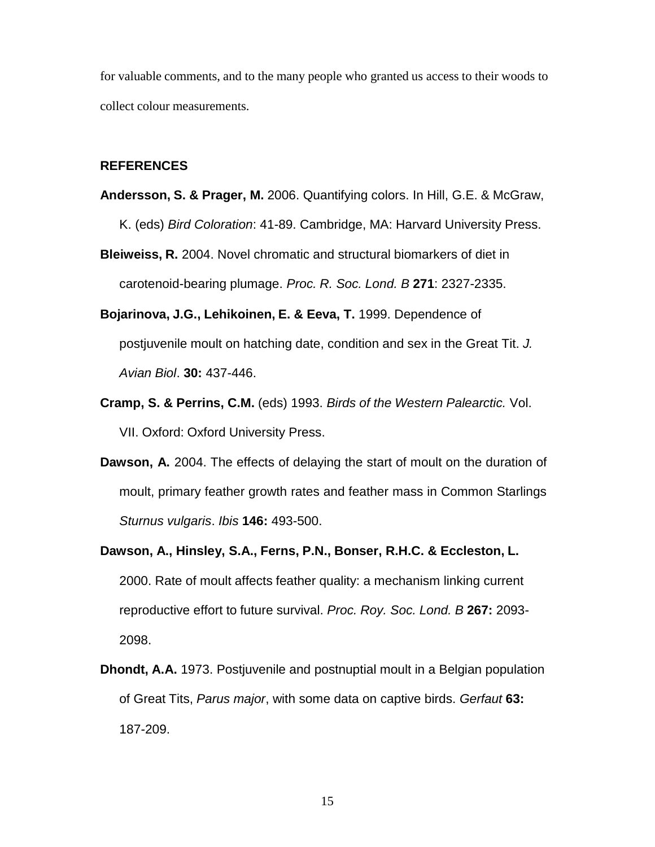for valuable comments, and to the many people who granted us access to their woods to collect colour measurements.

### **REFERENCES**

- **Andersson, S. & Prager, M.** 2006. Quantifying colors. In Hill, G.E. & McGraw, K. (eds) *Bird Coloration*: 41-89. Cambridge, MA: Harvard University Press.
- **Bleiweiss, R.** 2004. Novel chromatic and structural biomarkers of diet in carotenoid-bearing plumage. *Proc. R. Soc. Lond. B* **271**: 2327-2335.
- **Bojarinova, J.G., Lehikoinen, E. & Eeva, T.** 1999. Dependence of postjuvenile moult on hatching date, condition and sex in the Great Tit. *J. Avian Biol*. **30:** 437-446.
- **Cramp, S. & Perrins, C.M.** (eds) 1993. *Birds of the Western Palearctic.* Vol. VII. Oxford: Oxford University Press.
- **Dawson, A.** 2004. The effects of delaying the start of moult on the duration of moult, primary feather growth rates and feather mass in Common Starlings *Sturnus vulgaris*. *Ibis* **146:** 493-500.
- **Dawson, A., Hinsley, S.A., Ferns, P.N., Bonser, R.H.C. & Eccleston, L.** 2000. Rate of moult affects feather quality: a mechanism linking current reproductive effort to future survival. *Proc. Roy. Soc. Lond. B* **267:** 2093- 2098.
- **Dhondt, A.A.** 1973. Postjuvenile and postnuptial moult in a Belgian population of Great Tits, *Parus major*, with some data on captive birds. *Gerfaut* **63:** 187-209.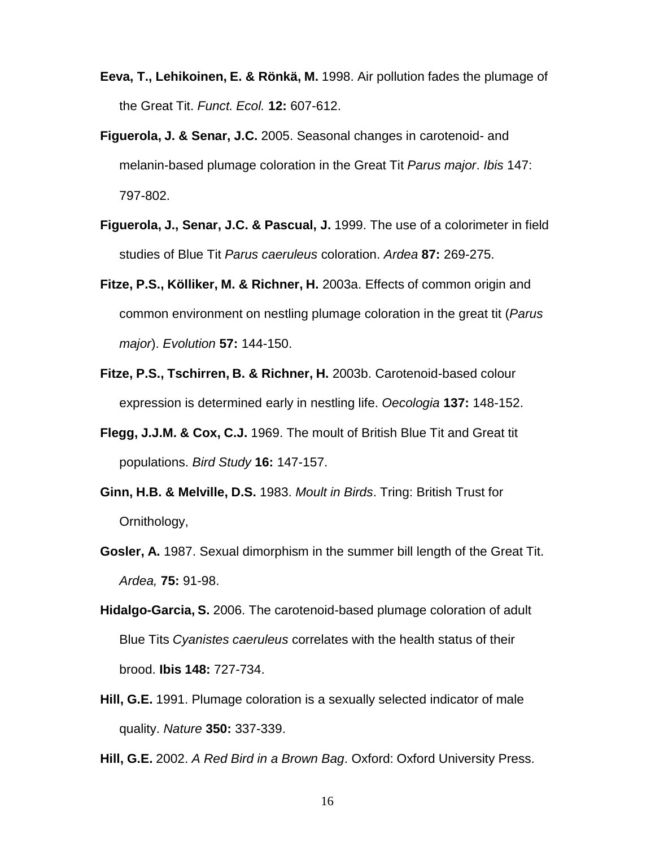- **Eeva, T., Lehikoinen, E. & Rönkä, M.** 1998. Air pollution fades the plumage of the Great Tit. *Funct. Ecol.* **12:** 607-612.
- **Figuerola, J. & Senar, J.C.** 2005. Seasonal changes in carotenoid- and melanin-based plumage coloration in the Great Tit *Parus major*. *Ibis* 147: 797-802.
- **Figuerola, J., Senar, J.C. & Pascual, J.** 1999. The use of a colorimeter in field studies of Blue Tit *Parus caeruleus* coloration. *Ardea* **87:** 269-275.
- **Fitze, P.S., Kölliker, M. & Richner, H.** 2003a. Effects of common origin and common environment on nestling plumage coloration in the great tit (*Parus major*). *Evolution* **57:** 144-150.
- **Fitze, P.S., Tschirren, B. & Richner, H.** 2003b. Carotenoid-based colour expression is determined early in nestling life. *Oecologia* **137:** 148-152.
- **Flegg, J.J.M. & Cox, C.J.** 1969. The moult of British Blue Tit and Great tit populations. *Bird Study* **16:** 147-157.
- **Ginn, H.B. & Melville, D.S.** 1983. *Moult in Birds*. Tring: British Trust for Ornithology,
- **Gosler, A.** 1987. Sexual dimorphism in the summer bill length of the Great Tit. *Ardea,* **75:** 91-98.
- **Hidalgo-Garcia, S.** 2006. The carotenoid-based plumage coloration of adult Blue Tits *Cyanistes caeruleus* correlates with the health status of their brood. **Ibis 148:** 727-734.
- **Hill, G.E.** 1991. Plumage coloration is a sexually selected indicator of male quality. *Nature* **350:** 337-339.
- **Hill, G.E.** 2002. *A Red Bird in a Brown Bag*. Oxford: Oxford University Press.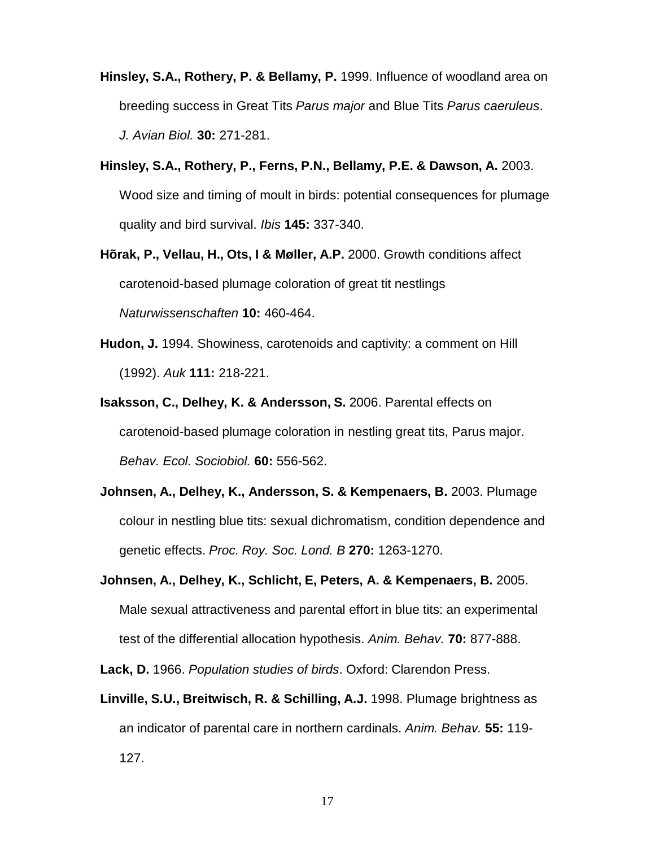- **Hinsley, S.A., Rothery, P. & Bellamy, P.** 1999. Influence of woodland area on breeding success in Great Tits *Parus major* and Blue Tits *Parus caeruleus*. *J. Avian Biol.* **30:** 271-281.
- **Hinsley, S.A., Rothery, P., Ferns, P.N., Bellamy, P.E. & Dawson, A.** 2003. Wood size and timing of moult in birds: potential consequences for plumage quality and bird survival. *Ibis* **145:** 337-340.
- **Hõrak, P., Vellau, H., Ots, I & Møller, A.P.** 2000. Growth conditions affect carotenoid-based plumage coloration of great tit nestlings *Naturwissenschaften* **10:** 460-464.
- **Hudon, J.** 1994. Showiness, carotenoids and captivity: a comment on Hill (1992). *Auk* **111:** 218-221.
- **Isaksson, C., Delhey, K. & Andersson, S.** 2006. Parental effects on carotenoid-based plumage coloration in nestling great tits, Parus major. *Behav. Ecol. Sociobiol.* **60:** 556-562.
- **Johnsen, A., Delhey, K., Andersson, S. & Kempenaers, B.** 2003. Plumage colour in nestling blue tits: sexual dichromatism, condition dependence and genetic effects. *Proc. Roy. Soc. Lond. B* **270:** 1263-1270.
- **Johnsen, A., Delhey, K., Schlicht, E, Peters, A. & Kempenaers, B.** 2005. Male sexual attractiveness and parental effort in blue tits: an experimental test of the differential allocation hypothesis. *Anim. Behav.* **70:** 877-888.
- **Lack, D.** 1966. *Population studies of birds*. Oxford: Clarendon Press.
- **Linville, S.U., Breitwisch, R. & Schilling, A.J.** 1998. Plumage brightness as an indicator of parental care in northern cardinals. *Anim. Behav.* **55:** 119- 127.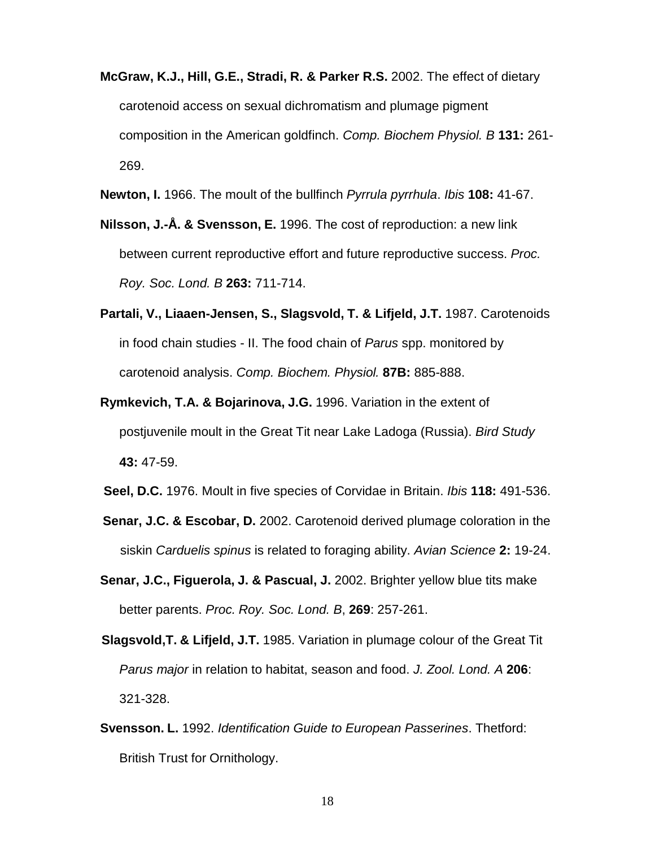- **McGraw, K.J., Hill, G.E., Stradi, R. & Parker R.S.** 2002. The effect of dietary carotenoid access on sexual dichromatism and plumage pigment composition in the American goldfinch. *Comp. Biochem Physiol. B* **131:** 261- 269.
- **Newton, I.** 1966. The moult of the bullfinch *Pyrrula pyrrhula*. *Ibis* **108:** 41-67.
- **Nilsson, J.-Å. & Svensson, E.** 1996. The cost of reproduction: a new link between current reproductive effort and future reproductive success. *Proc. Roy. Soc. Lond. B* **263:** 711-714.
- **Partali, V., Liaaen-Jensen, S., Slagsvold, T. & Lifjeld, J.T.** 1987. Carotenoids in food chain studies - II. The food chain of *Parus* spp. monitored by carotenoid analysis. *Comp. Biochem. Physiol.* **87B:** 885-888.
- **Rymkevich, T.A. & Bojarinova, J.G.** 1996. Variation in the extent of postjuvenile moult in the Great Tit near Lake Ladoga (Russia). *Bird Study* **43:** 47-59.
- **Seel, D.C.** 1976. Moult in five species of Corvidae in Britain. *Ibis* **118:** 491-536.
- **Senar, J.C. & Escobar, D.** 2002. Carotenoid derived plumage coloration in the siskin *Carduelis spinus* is related to foraging ability. *Avian Science* **2:** 19-24.
- **Senar, J.C., Figuerola, J. & Pascual, J.** 2002. Brighter yellow blue tits make better parents. *Proc. Roy. Soc. Lond. B*, **269**: 257-261.
- **Slagsvold,T. & Lifjeld, J.T.** 1985. Variation in plumage colour of the Great Tit *Parus major* in relation to habitat, season and food. *J. Zool. Lond. A* **206**: 321-328.
- **Svensson. L.** 1992. *Identification Guide to European Passerines*. Thetford: British Trust for Ornithology.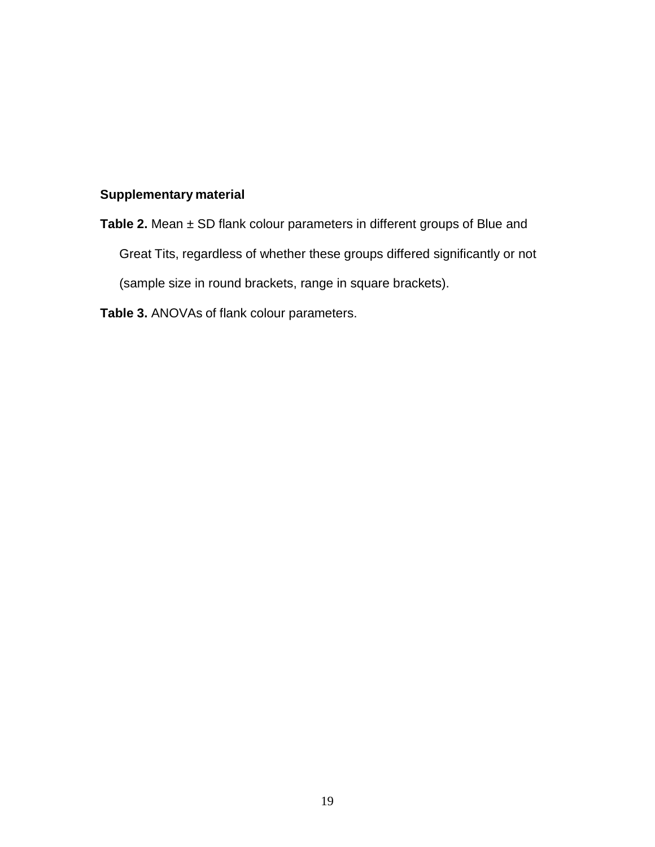## **Supplementary material**

**Table 2.** Mean ± SD flank colour parameters in different groups of Blue and Great Tits, regardless of whether these groups differed significantly or not (sample size in round brackets, range in square brackets).

**Table 3.** ANOVAs of flank colour parameters.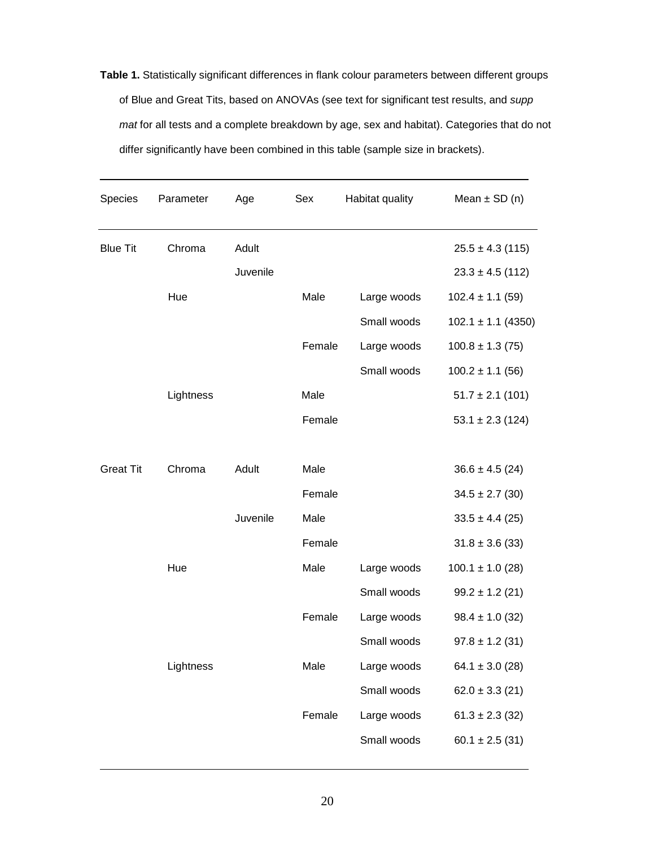**Table 1.** Statistically significant differences in flank colour parameters between different groups of Blue and Great Tits, based on ANOVAs (see text for significant test results, and *supp mat* for all tests and a complete breakdown by age, sex and habitat). Categories that do not differ significantly have been combined in this table (sample size in brackets).

| Species          | Parameter | Age      | Sex    | Habitat quality | Mean $\pm$ SD (n)      |
|------------------|-----------|----------|--------|-----------------|------------------------|
| <b>Blue Tit</b>  | Chroma    | Adult    |        |                 | $25.5 \pm 4.3$ (115)   |
|                  |           | Juvenile |        |                 | $23.3 \pm 4.5$ (112)   |
|                  | Hue       |          | Male   | Large woods     | $102.4 \pm 1.1$ (59)   |
|                  |           |          |        | Small woods     | $102.1 \pm 1.1$ (4350) |
|                  |           |          | Female | Large woods     | $100.8 \pm 1.3$ (75)   |
|                  |           |          |        | Small woods     | $100.2 \pm 1.1$ (56)   |
|                  | Lightness |          | Male   |                 | $51.7 \pm 2.1$ (101)   |
|                  |           |          | Female |                 | $53.1 \pm 2.3$ (124)   |
| <b>Great Tit</b> | Chroma    | Adult    | Male   |                 | $36.6 \pm 4.5$ (24)    |
|                  |           |          | Female |                 | $34.5 \pm 2.7$ (30)    |
|                  |           | Juvenile | Male   |                 | $33.5 \pm 4.4$ (25)    |
|                  |           |          | Female |                 | $31.8 \pm 3.6$ (33)    |
|                  | Hue       |          | Male   | Large woods     | $100.1 \pm 1.0$ (28)   |
|                  |           |          |        | Small woods     | $99.2 \pm 1.2$ (21)    |
|                  |           |          | Female | Large woods     | $98.4 \pm 1.0$ (32)    |
|                  |           |          |        | Small woods     | $97.8 \pm 1.2$ (31)    |
|                  | Lightness |          | Male   | Large woods     | $64.1 \pm 3.0$ (28)    |
|                  |           |          |        | Small woods     | $62.0 \pm 3.3$ (21)    |
|                  |           |          | Female | Large woods     | $61.3 \pm 2.3$ (32)    |
|                  |           |          |        | Small woods     | $60.1 \pm 2.5$ (31)    |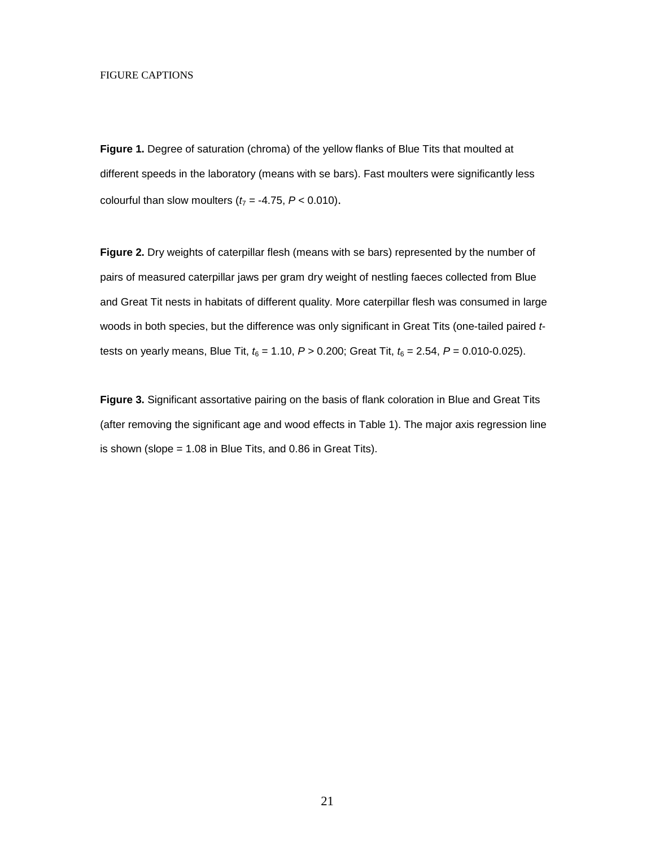#### FIGURE CAPTIONS

**Figure 1.** Degree of saturation (chroma) of the yellow flanks of Blue Tits that moulted at different speeds in the laboratory (means with se bars). Fast moulters were significantly less colourful than slow moulters  $(t_7 = -4.75, P < 0.010)$ .

**Figure 2.** Dry weights of caterpillar flesh (means with se bars) represented by the number of pairs of measured caterpillar jaws per gram dry weight of nestling faeces collected from Blue and Great Tit nests in habitats of different quality. More caterpillar flesh was consumed in large woods in both species, but the difference was only significant in Great Tits (one-tailed paired *t*tests on yearly means, Blue Tit,  $t_6 = 1.10$ ,  $P > 0.200$ ; Great Tit,  $t_6 = 2.54$ ,  $P = 0.010$ -0.025).

**Figure 3.** Significant assortative pairing on the basis of flank coloration in Blue and Great Tits (after removing the significant age and wood effects in Table 1). The major axis regression line is shown (slope  $= 1.08$  in Blue Tits, and 0.86 in Great Tits).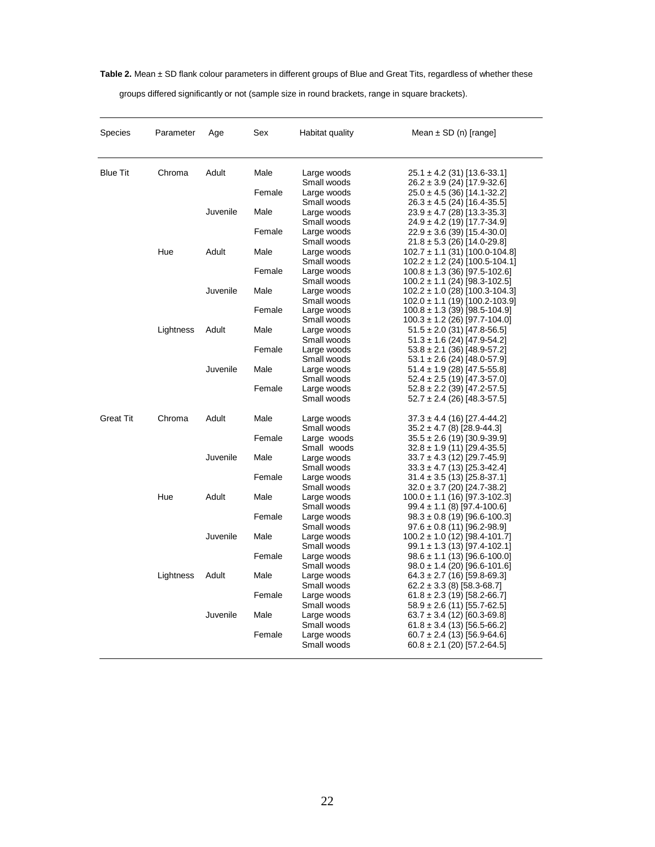**Table 2.** Mean ± SD flank colour parameters in different groups of Blue and Great Tits, regardless of whether these

groups differed significantly or not (sample size in round brackets, range in square brackets).

| <b>Species</b>   | Parameter | Age      | Sex    | Habitat quality                           | Mean $\pm$ SD (n) [range]                                                                                   |
|------------------|-----------|----------|--------|-------------------------------------------|-------------------------------------------------------------------------------------------------------------|
| <b>Blue Tit</b>  | Chroma    | Adult    | Male   | Large woods<br>Small woods                | $25.1 \pm 4.2$ (31) [13.6-33.1]<br>$26.2 \pm 3.9$ (24) [17.9-32.6]                                          |
|                  |           |          | Female | Large woods<br>Small woods                | $25.0 \pm 4.5$ (36) [14.1-32.2]<br>$26.3 \pm 4.5$ (24) [16.4-35.5]                                          |
|                  |           | Juvenile | Male   | Large woods<br>Small woods                | $23.9 \pm 4.7$ (28) [13.3-35.3]<br>$24.9 \pm 4.2$ (19) [17.7-34.9]                                          |
|                  |           |          | Female | Large woods                               | $22.9 \pm 3.6$ (39) [15.4-30.0]                                                                             |
|                  | Hue       | Adult    | Male   | Small woods<br>Large woods<br>Small woods | $21.8 \pm 5.3$ (26) [14.0-29.8]<br>$102.7 \pm 1.1$ (31) [100.0-104.8]<br>$102.2 \pm 1.2$ (24) [100.5-104.1] |
|                  |           |          | Female | Large woods<br>Small woods                | $100.8 \pm 1.3$ (36) [97.5-102.6]<br>$100.2 \pm 1.1$ (24) [98.3-102.5]                                      |
|                  |           | Juvenile | Male   | Large woods<br>Small woods                | $102.2 \pm 1.0$ (28) [100.3-104.3]<br>$102.0 \pm 1.1$ (19) [100.2-103.9]                                    |
|                  |           |          | Female | Large woods<br>Small woods                | $100.8 \pm 1.3$ (39) [98.5-104.9]<br>$100.3 \pm 1.2$ (26) [97.7-104.0]                                      |
|                  | Lightness | Adult    | Male   | Large woods<br>Small woods                | $51.5 \pm 2.0$ (31) [47.8-56.5]<br>$51.3 \pm 1.6$ (24) [47.9-54.2]                                          |
|                  |           |          | Female | Large woods<br>Small woods                | $53.8 \pm 2.1$ (36) [48.9-57.2]<br>$53.1 \pm 2.6$ (24) [48.0-57.9]                                          |
|                  |           | Juvenile | Male   | Large woods<br>Small woods                | $51.4 \pm 1.9$ (28) [47.5-55.8]<br>$52.4 \pm 2.5$ (19) [47.3-57.0]                                          |
|                  |           |          | Female | Large woods<br>Small woods                | $52.8 \pm 2.2$ (39) [47.2-57.5]<br>$52.7 \pm 2.4$ (26) [48.3-57.5]                                          |
| <b>Great Tit</b> | Chroma    | Adult    | Male   | Large woods                               | $37.3 \pm 4.4$ (16) [27.4-44.2]                                                                             |
|                  |           |          | Female | Small woods<br>Large woods                | $35.2 \pm 4.7$ (8) [28.9-44.3]<br>$35.5 \pm 2.6$ (19) [30.9-39.9]                                           |
|                  |           | Juvenile | Male   | Small woods<br>Large woods<br>Small woods | $32.8 \pm 1.9$ (11) [29.4-35.5]<br>$33.7 \pm 4.3$ (12) [29.7-45.9]<br>$33.3 \pm 4.7$ (13) [25.3-42.4]       |
|                  |           |          | Female | Large woods<br>Small woods                | $31.4 \pm 3.5$ (13) [25.8-37.1]<br>$32.0 \pm 3.7$ (20) [24.7-38.2]                                          |
|                  | Hue       | Adult    | Male   | Large woods<br>Small woods                | $100.0 \pm 1.1$ (16) [97.3-102.3]<br>$99.4 \pm 1.1$ (8) [97.4-100.6]                                        |
|                  |           |          | Female | Large woods<br>Small woods                | $98.3 \pm 0.8$ (19) [96.6-100.3]<br>$97.6 \pm 0.8$ (11) [96.2-98.9]                                         |
|                  |           | Juvenile | Male   | Large woods<br>Small woods                | $100.2 \pm 1.0$ (12) [98.4-101.7]<br>$99.1 \pm 1.3$ (13) [97.4-102.1]                                       |
|                  |           |          | Female | Large woods<br>Small woods                | $98.6 \pm 1.1$ (13) [96.6-100.0]<br>$98.0 \pm 1.4$ (20) [96.6-101.6]                                        |
|                  | Lightness | Adult    | Male   | Large woods<br>Small woods                | $64.3 \pm 2.7$ (16) [59.8-69.3]<br>$62.2 \pm 3.3$ (8) [58.3-68.7]                                           |
|                  |           |          | Female | Large woods<br>Small woods                | $61.8 \pm 2.3$ (19) [58.2-66.7]<br>$58.9 \pm 2.6$ (11) [55.7-62.5]                                          |
|                  |           | Juvenile | Male   | Large woods<br>Small woods                | $63.7 \pm 3.4$ (12) [60.3-69.8]<br>$61.8 \pm 3.4$ (13) [56.5-66.2]                                          |
|                  |           |          | Female | Large woods<br>Small woods                | $60.7 \pm 2.4$ (13) [56.9-64.6]<br>$60.8 \pm 2.1$ (20) [57.2-64.5]                                          |
|                  |           |          |        |                                           |                                                                                                             |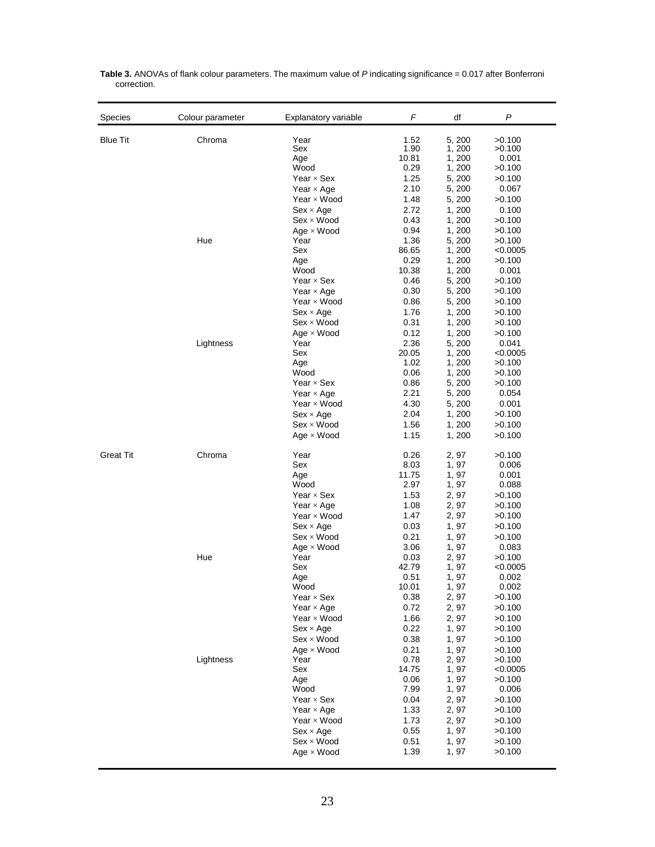| Species          | Colour parameter | Explanatory variable                   | F             | df               | P                  |
|------------------|------------------|----------------------------------------|---------------|------------------|--------------------|
| <b>Blue Tit</b>  | Chroma           | Year<br>Sex                            | 1.52<br>1.90  | 5, 200<br>1,200  | >0.100<br>>0.100   |
|                  |                  | Age                                    | 10.81         | 1,200            | 0.001              |
|                  |                  | Wood                                   | 0.29          | 1, 200           | >0.100             |
|                  |                  | Year $\times$ Sex<br>Year $\times$ Age | 1.25<br>2.10  | 5, 200<br>5, 200 | >0.100<br>0.067    |
|                  |                  | Year $\times$ Wood                     | 1.48          | 5, 200           | >0.100             |
|                  |                  | $Sex \times Age$                       | 2.72          | 1, 200           | 0.100              |
|                  |                  | $Sex \times Wood$                      | 0.43          | 1, 200           | >0.100             |
|                  |                  | $Age \times Wood$                      | 0.94          | 1,200            | >0.100             |
|                  | Hue              | Year                                   | 1.36          | 5, 200           | >0.100             |
|                  |                  | Sex<br>Age                             | 86.65<br>0.29 | 1,200<br>1, 200  | < 0.0005<br>>0.100 |
|                  |                  | Wood                                   | 10.38         | 1,200            | 0.001              |
|                  |                  | Year $\times$ Sex                      | 0.46          | 5, 200           | >0.100             |
|                  |                  | Year $\times$ Age                      | 0.30          | 5, 200           | >0.100             |
|                  |                  | Year $\times$ Wood                     | 0.86          | 5, 200           | >0.100             |
|                  |                  | $Sex \times Age$                       | 1.76          | 1,200            | >0.100             |
|                  |                  | $Sex \times Wood$                      | 0.31          | 1,200            | >0.100             |
|                  | Lightness        | $Age \times Wood$<br>Year              | 0.12<br>2.36  | 1,200<br>5, 200  | >0.100<br>0.041    |
|                  |                  | Sex                                    | 20.05         | 1,200            | < 0.0005           |
|                  |                  | Age                                    | 1.02          | 1,200            | >0.100             |
|                  |                  | Wood                                   | 0.06          | 1,200            | >0.100             |
|                  |                  | Year $\times$ Sex                      | 0.86          | 5, 200           | >0.100             |
|                  |                  | Year $\times$ Age                      | 2.21          | 5, 200           | 0.054              |
|                  |                  | Year $\times$ Wood<br>$Sex \times Age$ | 4.30<br>2.04  | 5, 200<br>1, 200 | 0.001<br>>0.100    |
|                  |                  | $Sex \times Wood$                      | 1.56          | 1,200            | >0.100             |
|                  |                  | $Age \times Wood$                      | 1.15          | 1, 200           | >0.100             |
| <b>Great Tit</b> | Chroma           | Year                                   | 0.26          | 2, 97            | >0.100             |
|                  |                  | Sex                                    | 8.03          | 1,97             | 0.006              |
|                  |                  | Age<br>Wood                            | 11.75<br>2.97 | 1,97<br>1, 97    | 0.001<br>0.088     |
|                  |                  | Year $\times$ Sex                      | 1.53          | 2, 97            | >0.100             |
|                  |                  | Year $\times$ Age                      | 1.08          | 2, 97            | >0.100             |
|                  |                  | Year $\times$ Wood                     | 1.47          | 2, 97            | >0.100             |
|                  |                  | $Sex \times Age$                       | 0.03          | 1,97             | >0.100             |
|                  |                  | $Sex \times Wood$                      | 0.21          | 1,97             | >0.100             |
|                  |                  | $Age \times Wood$                      | 3.06          | 1, 97            | 0.083              |
|                  | Hue              | Year<br>Sex                            | 0.03<br>42.79 | 2, 97<br>1,97    | >0.100<br>< 0.0005 |
|                  |                  | Age                                    | 0.51          | 1,97             | 0.002              |
|                  |                  | Wood                                   | 10.01         | 1, 97            | 0.002              |
|                  |                  | Year $\times$ Sex                      | 0.38          | 2, 97            | >0.100             |
|                  |                  | Year $\times$ Age                      | 0.72          | 2, 97            | >0.100             |
|                  |                  | Year $\times$ Wood                     | 1.66          | 2, 97<br>1,97    | >0.100             |
|                  |                  | $Sex \times Age$<br>$Sex \times Wood$  | 0.22<br>0.38  | 1,97             | >0.100<br>>0.100   |
|                  |                  | $Age \times Wood$                      | 0.21          | 1,97             | >0.100             |
|                  | Lightness        | Year                                   | 0.78          | 2, 97            | >0.100             |
|                  |                  | Sex                                    | 14.75         | 1, 97            | < 0.0005           |
|                  |                  | Age                                    | 0.06          | 1, 97            | >0.100             |
|                  |                  | Wood                                   | 7.99          | 1, 97            | 0.006              |
|                  |                  | Year $\times$ Sex<br>Year $\times$ Age | 0.04<br>1.33  | 2, 97<br>2, 97   | >0.100<br>>0.100   |
|                  |                  | Year $\times$ Wood                     | 1.73          | 2, 97            | >0.100             |
|                  |                  | $Sex \times Age$                       | 0.55          | 1,97             | >0.100             |
|                  |                  | $Sex \times Wood$                      | 0.51          | 1,97             | >0.100             |
|                  |                  | $Age \times Wood$                      | 1.39          | 1,97             | >0.100             |
|                  |                  |                                        |               |                  |                    |

**Table 3.** ANOVAs of flank colour parameters. The maximum value of *P* indicating significance = 0.017 after Bonferroni correction.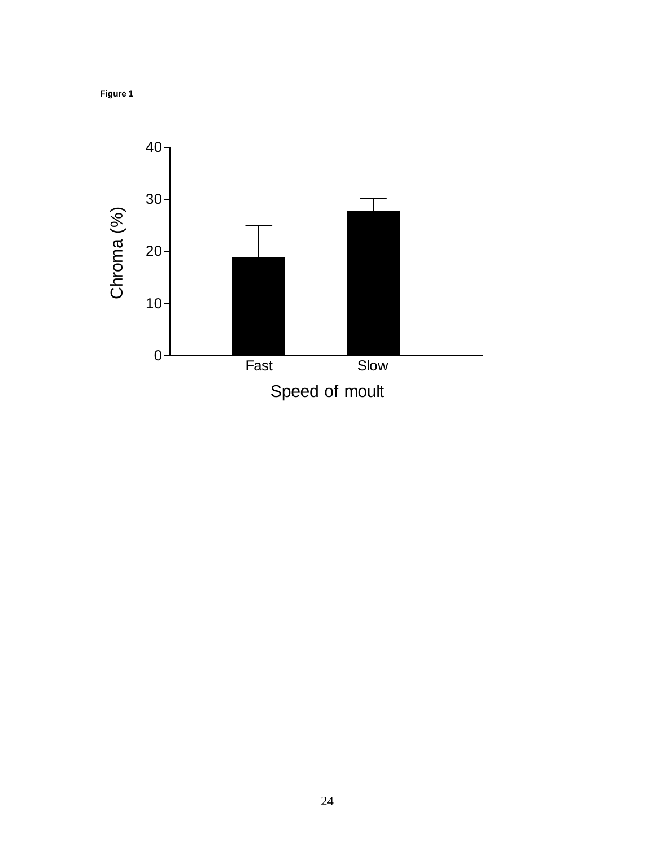

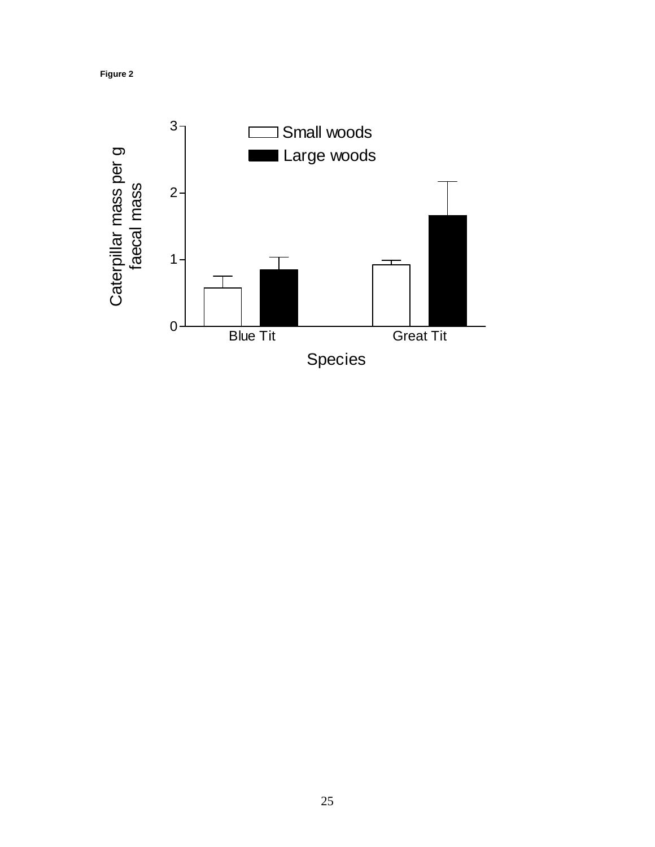